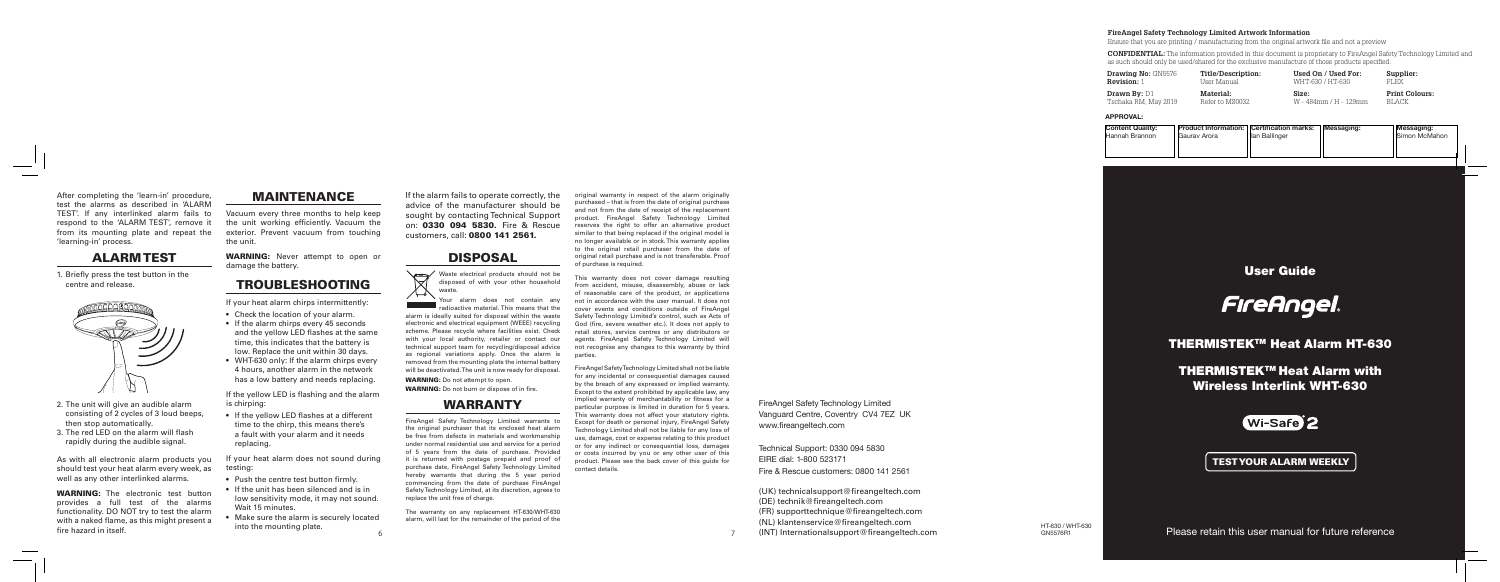User Guide



THERMISTEKTM Heat Alarm HT-630

THERMISTEKTM Heat Alarm with Wireless Interlink WHT-630



After completing the 'learn-in' procedure, test the alarms as described in 'ALARM TEST'. If any interlinked alarm fails to respond to the 'ALARM TEST', remove it from its mounting plate and repeat the 'learning-in' process.

#### ALARM TEST

1. Briefly press the test button in the centre and release.



WARNING: The electronic test button provides a full test of the alarms functionality. DO NOT try to test the alarm with a naked flame, as this might present a fire hazard in itself.

- 2. The unit will give an audible alarm consisting of 2 cycles of 3 loud beeps, then stop automatically.
- 3. The red LED on the alarm will flash rapidly during the audible signal.

WARNING: Never attempt to open or damage the battery.

As with all electronic alarm products you should test your heat alarm every week, as well as any other interlinked alarms.

f your heat alarm does not sound during testing:

#### MAINTENANCE

Vacuum every three months to help keep the unit working efficiently. Vacuum the exterior. Prevent vacuum from touching the unit.

> Waste electrical products should not be disposed of with your other household waste.

## TROUBLESHOOTING

If your heat alarm chirps intermittently:

- Check the location of your alarm.
- If the alarm chirps every 45 seconds and the yellow LED flashes at the same time, this indicates that the battery is low. Replace the unit within 30 days.
- WHT-630 only: If the alarm chirps every 4 hours, another alarm in the network has a low battery and needs replacing.

WARNING: Do not attempt to open. WARNING: Do not burn or dispose of in fire

If the yellow LED is flashing and the alarm is chirping:

• If the yellow LED flashes at a different time to the chirp, this means there's a fault with your alarm and it needs replacing.

- Push the centre test button firmly.
- If the unit has been silenced and is in low sensitivity mode, it may not sound. Wait 15 minutes.
- Make sure the alarm is securely located into the mounting plate.

If the alarm fails to operate correctly, the advice of the manufacturer should be sought by contacting Technical Support on: 0330 094 5830. Fire & Rescue customers, call: 0800 141 2561.

### DISPOSAL

Your alarm does not contain any radioactive material. This means that the alarm is ideally suited for disposal within the waste electronic and electrical equipment (WEEE) recycling scheme. Please recycle where facilities exist. Check with your local authority, retailer or contact our technical support team for recycling/disposal advice as regional variations apply. Once the alarm is removed from the mounting plate the internal battery will be deactivated. The unit is now ready for disposal.

## WARRANTY

FireAngel Safety Technology Limited warrants to the original purchaser that its enclosed heat alarm be free from defects in materials and workmanship under normal residential use and service for a period of 5 years from the date of purchase. Provided it is returned with postage prepaid and proof of purchase date, FireAngel Safety Technology Limited hereby warrants that during the 5 year period commencing from the date of purchase FireAngel Safety Technology Limited, at its discretion, agrees to replace the unit free of charge.

The warranty on any replacement HT-630/WHT-630 alarm, will last for the remainder of the period of the

original warranty in respect of the alarm originally purchased – that is from the date of original purchase and not from the date of receipt of the replacement product. FireAngel Safety Technology Limited reserves the right to offer an alternative product similar to that being replaced if the original model is no longer available or in stock. This warranty applies to the original retail purchaser from the date of original retail purchase and is not transferable. Proof of purchase is required.

This warranty does not cover damage resulting from accident, misuse, disassembly, abuse or lack of reasonable care of the product, or applications not in accordance with the user manual. It does not cover events and conditions outside of FireAngel Safety Technology Limited's control, such as Acts of God (fire, severe weather etc.). It does not apply to retail stores, service centres or any distributors or agents. FireAngel Safety Technology Limited will not recognise any changes to this warranty by third parties.

FireAngel Safety Technology Limited shall not be liable for any incidental or consequential damages caused by the breach of any expressed or implied warranty Except to the extent prohibited by applicable law, any implied warranty of merchantability or fitness for a particular purpose is limited in duration for 5 years. This warranty does not affect your statutory rights. Except for death or personal injury, FireAngel Safety Technology Limited shall not be liable for any loss of use, damage, cost or expense relating to this product or for any indirect or consequential loss, damages or costs incurred by you or any other user of this product. Please see the back cover of this guide for contact details.

Please retain this user manual for future reference

TEST YOUR ALARM WEEKLY

HT-630 / WHT-630<br>GN5576B1

FireAngel Safety Technology Limited Vanguard Centre, Coventry CV4 7EZ UK www.fireangeltech.com

Technical Support: 0330 094 5830 EIRE dial: 1-800 523171 Fire & Rescue customers: 0800 141 2561

(UK) technicalsupport@fireangeltech.com (DE) technik@fireangeltech.com (FR) supporttechnique@fireangeltech.com (NL) klantenservice@fireangeltech.com

 $\gamma$  (INT) Internationalsupport@fireangeltech.com and the set of the set of  $\gamma$